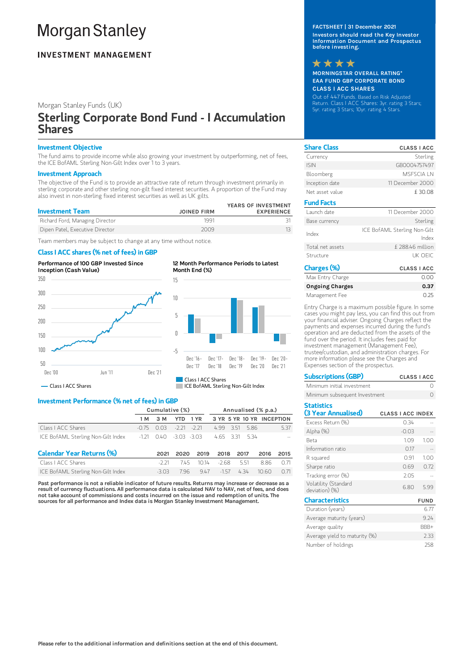# **Morgan Stanley**

# **INVESTMENT MANAGEMENT**

Morgan Stanley Funds (UK)

# Sterling Corporate Bond Fund - I Accumulation Shares

### Investment Objective

The fund aims to provide income while also growing your investment by outperforming, net of fees, the ICE BofAML Sterling Non-Gilt Index over 1 to 3 years.

#### Investment Approach

The objective of the Fund is to provide an attractive rate of return through investment primarily in sterling corporate and other sterling non-gilt fixed interest securities. A proportion of the Fund may also invest in non-sterling fixed interest securities as well as UK gilts.

| <b>Investment Team</b>          | <b>JOINED FIRM</b> | YEARS OF INVESTMENT<br><b>EXPERIENCE</b> |
|---------------------------------|--------------------|------------------------------------------|
| Richard Ford, Managing Director | 1991               |                                          |
| Dipen Patel, Executive Director | 2009               |                                          |

Team members may be subject to change at any time without notice.

## Class I ACC shares (% net of fees) in GBP

Performance of 100 GBP Invested Since Inception (Cash Value)







ICE BofAML Sterling Non-Gilt Index

# Investment Performance (% net of fees) in GBP

|                                    | Cumulative (%) |       | Annualised (% p.a.) |        |         |      |                           |       |      |
|------------------------------------|----------------|-------|---------------------|--------|---------|------|---------------------------|-------|------|
|                                    | 1 M            | 3 M   | <b>YTD</b>          | 1 YR   |         |      | 3 YR 5 YR 10 YR INCEPTION |       |      |
| Class LACC Shares                  | $-0.75$        | O 03  | $-2.21$             | $-221$ | 4.99    | 3.51 | 586                       |       | 5.37 |
| ICE BofAML Sterling Non-Gilt Index | $-121$         | 040 O | $-3.03 - 3.03$      |        |         |      | 4.65 3.31 5.34            |       |      |
| <b>Calendar Year Returns (%)</b>   |                | 2021  | 2020                | 2019   | 2018    |      | 2017                      | 2016  | 2015 |
| Class LACC Shares                  |                | -2 21 | 745                 | 1014   | $-268$  |      | 551                       | 886   | 071  |
| ICE BofAML Sterling Non-Gilt Index |                | -303  | 7.96                | 9.47   | $-1.57$ |      | 4.34                      | 10 60 | 071  |

Past performance is not a reliable indicator of future results. Returns may increase or decrease as a result of currency fluctuations. All performance data is calculated NAV to NAV, net of fees, and does not take account of commissions and costs incurred on the issue and redemption of units. The sources for all performance and Index data is Morgan Stanley Investment Management.

### FACTSHEET | 31 December 2021

Investors should read the Key Investor Information Document and Prospectus before investing.



MORNINGSTAR OVERALL RATING\* EAA FUND GBP CORPORATE BOND CLASS I ACC SHARES Out of 447 Funds. Based on Risk Adjusted Return. Class I ACC Shares: 3yr. rating 3 Stars;

5yr. rating 3 Stars; 10yr. rating 4 Stars.

| <b>Share Class</b> | <b>CLASS I ACC</b>                    |
|--------------------|---------------------------------------|
| Currency           | Sterling                              |
| <b>ISIN</b>        | GB0004757497                          |
| Bloomberg          | <b>MSESCIA I N</b>                    |
| Inception date     | 11 December 2000                      |
| Net asset value    | £30.08                                |
| <b>Fund Facts</b>  |                                       |
| Launch date        | 11 December 2000                      |
| Base currency      | Sterling                              |
| Index              | ICE BofAML Sterling Non-Gilt<br>Index |
| Total net assets   | £ 288.46 million                      |
| Structure          | uk ofic                               |
|                    |                                       |

| Charges (%)            | <b>CLASS I ACC</b> |
|------------------------|--------------------|
| Max Entry Charge       | n nn               |
| <b>Ongoing Charges</b> | 0.37               |
| Management Fee         | O 25               |

Entry Charge is a maximum possible figure. In some cases you might pay less, you can find this out from your financial adviser. Ongoing Charges reflect the payments and expenses incurred during the fund's operation and are deducted from the assets of the fund over the period. It includes fees paid for investment management (Management Fee), trustee/custodian, and administration charges. For more information please see the Charges and Expenses section of the prospectus.

| <b>Subscriptions (GBP)</b>    | <b>CLASS I ACC</b> |
|-------------------------------|--------------------|
| Minimum initial investment    |                    |
| Minimum subsequent Investment |                    |

Statistics

| ыспынск                                |                          |             |
|----------------------------------------|--------------------------|-------------|
| (3 Year Annualised)                    | <b>CLASS I ACC INDEX</b> |             |
| Excess Return (%)                      | 0.34                     |             |
| Alpha (%)                              | $-0.03$                  |             |
| Beta                                   | 1.09                     | 1.00        |
| Information ratio                      | 0.17                     |             |
| R squared                              | 0.91                     | 1.00        |
| Sharpe ratio                           | 0.69                     | 0.72        |
| Tracking error (%)                     | 2.05                     |             |
| Volatility (Standard<br>deviation) (%) | 6.80                     | 5.99        |
| <b>Characteristics</b>                 |                          | <b>FUND</b> |
| Duration (years)                       |                          | 6.77        |
| Average maturity (years)               |                          | 9.24        |
| Average quality                        |                          | BBB+        |
| Average yield to maturity (%)          |                          | 2.33        |

Number of holdings 258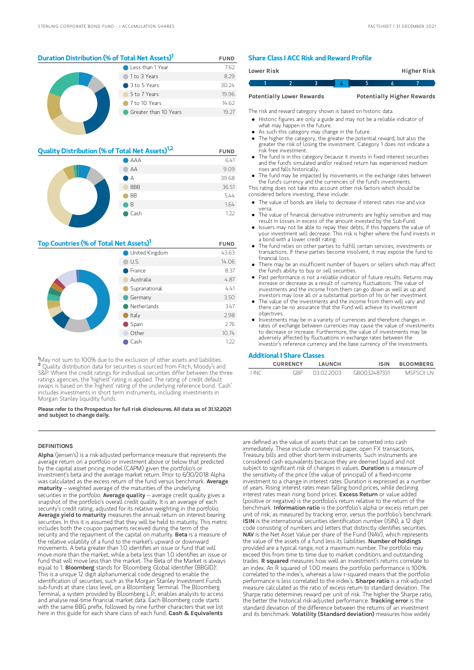| Duration Distribution (% of Total Net Assets) <sup>1</sup> | <b>FUND</b>           |       |
|------------------------------------------------------------|-----------------------|-------|
|                                                            | Less than 1 Year      | 7.62  |
|                                                            | 1 to 3 Years          | 8.29  |
|                                                            | 3 to 5 Years          | 30.24 |
|                                                            | 5 to 7 Years          | 19.96 |
|                                                            | 17 to 10 Years        | 14.62 |
|                                                            | Greater than 10 Years | 19 27 |
|                                                            |                       |       |

| Quality Distribution (% of Total Net Assets) <sup>1,2</sup> |              | <b>FUND</b> |
|-------------------------------------------------------------|--------------|-------------|
|                                                             | AAA          | 6.41        |
|                                                             | AA           | 9.09        |
|                                                             | А            | 39.68       |
|                                                             | <b>BBB</b>   | 36.51       |
|                                                             | <b>BB</b>    | 5.44        |
|                                                             | <sub>B</sub> | 1.64        |
|                                                             | Cash         | 1.22        |

# Top Countries (% of Total Net Assets)<sup>1</sup> FUND



May not sum to 100% due to the exclusion of other assets and liabilities.  $2$  Quality distribution data for securities is sourced from Fitch, Moody's and S&P. Where the credit ratings for individual securities differ between the three ratings agencies, the 'highest' rating is applied. The rating of credit default swaps is based on the 'highest' rating of the underlying reference bond. 'Cash' includes investments in short term instruments, including investments in Morgan Stanley liquidity funds.

Please refer to the Prospectus for full risk disclosures. All data as of 31.12.2021 and subject to change daily.

#### **DEFINITIONS**

Alpha (Jensen's) is a risk-adjusted performance measure that represents the average return on a portfolio or investment above or below that predicted by the capital asset pricing model (CAPM) given the portfolio's or investment's beta and the average market return. Prior to 6/30/2018 Alpha was calculated as the excess return of the fund versus benchmark. Average maturity – weighted average of the maturities of the underlying securities in the portfolio. Average quality  $-$  average credit quality gives a snapshot of the portfolio's overall credit quality. It is an average of each security's credit rating, adjusted for its relative weighting in the portfolio. Average yield to maturity measures the annual return on interest-bearing securities. In this it is assumed that they will be held to maturity. This metric includes both the coupon payments received during the term of the security and the repayment of the capital on maturity. Beta is a measure of the relative volatility of a fund to the market's upward or downward movements. A beta greater than 1.0 identifies an issue or fund that will move more than the market, while a beta less than 1.0 identifies an issue or fund that will move less than the market. The Beta of the Market is always equal to 1. **Bloomberg** stands for 'Bloomberg Global Identifier (BBGID)'. This is a unique 12 digit alphanumerical code designed to enable the identification of securities, such as the Morgan Stanley Investment Funds sub-funds at share class level, on a Bloomberg Terminal. The Bloomberg Terminal, a system provided by Bloomberg L.P., enables analysts to access and analyse real-time financial market data. Each Bloomberg code starts with the same BBG prefix, followed by nine further characters that we list here in this guide for each share class of each fund. Cash & Equivalents

#### Share Class I ACC Risk and Reward Profile

|                                  | Lower Risk |  |  |  |   | Higher Risk                       |
|----------------------------------|------------|--|--|--|---|-----------------------------------|
|                                  |            |  |  |  | h |                                   |
| <b>Potentially Lower Rewards</b> |            |  |  |  |   | <b>Potentially Higher Rewards</b> |

The risk and reward category shown is based on historic data.

- Historic figures are only a guide and may not be a reliable indicator of what may happen in the future.
- As such this category may change in the future.
- The higher the category, the greater the potential reward, but also the greater the risk of losing the investment. Category 1 does not indicate a risk free investment.
- The fund is in this category because it invests in fixed interest securities and the fund's simulated and/or realised return has experienced medium rises and falls historically.
- The fund may be impacted by movements in the exchange rates between the fund's currency and the currencies of the fund's investments.

This rating does not take into account other risk factors which should be considered before investing, these include:

- The value of bonds are likely to decrease if interest rates rise and vice versa.
- $\bullet$ The value of financial derivative instruments are highly sensitive and may result in losses in excess of the amount invested by the Sub-Fund.
- Issuers may not be able to repay their debts, if this happens the value of your investment will decrease. This risk is higher where the fund invests in a bond with a lower credit rating.
- The fund relies on other parties to fulfill certain services, investments or transactions. If these parties become insolvent, it may expose the fund to financial loss.
- There may be an insufficient number of buyers or sellers which may affect the fund's ability to buy or sell securities.
- Past performance is not a reliable indicator of future results. Returns may increase or decrease as a result of currency fluctuations. The value of investments and the income from them can go down as well as up and investors may lose all or a substantial portion of his or her investment.
- The value of the investments and the income from them will vary and there can be no assurance that the Fund will achieve its investment objectives.
- Investments may be in a variety of currencies and therefore changes in rates of exchange between currencies may cause the value of investments to decrease or increase. Furthermore, the value of investments may be adversely affected by fluctuations in exchange rates between the investor's reference currency and the base currency of the investments.

## Additional I Share Classes

|             | <b>CURRENCY</b> | LAUNCH     | <b>ISIN</b>  | <b>BLOOMBERG</b> |
|-------------|-----------------|------------|--------------|------------------|
| <b>IINC</b> | GRP             | 03.02.2003 | GB0032487331 | <b>MSESCILLN</b> |

are defined as the value of assets that can be converted into cash immediately. These include commercial paper, open FX transactions, Treasury bills and other short-term instruments. Such instruments are considered cash equivalents because they are deemed liquid and not subject to significant risk of changes in values. Duration is a measure of the sensitivity of the price (the value of principal) of a fixed-income investment to a change in interest rates. Duration is expressed as a number of years. Rising interest rates mean falling bond prices, while declining interest rates mean rising bond prices. Excess Return or value added (positive or negative) is the portfolio's return relative to the return of the<br>benchmark. **Information ratio** is the portfolio's alpha or excess return per unit of risk, as measured by tracking error, versus the portfolio's benchmark. ISIN is the international securities identification number (ISIN), a 12 digit code consisting of numbers and letters that distinctly identifies securities. NAV is the Net Asset Value per share of the Fund (NAV), which represents the value of the assets of a fund less its liabilities. Number of holdings provided are a typical range, not a maximum number. The portfolio may exceed this from time to time due to market conditions and outstanding trades. R squared measures how well an investment's returns correlate to an index. An R squared of 1.00 means the portfolio performance is 100% correlated to the index's, whereas a low r-squared means that the portfolio performance is less correlated to the index's. Sharpe ratio is a risk-adjusted measure calculated as the ratio of excess return to standard deviation. The Sharpe ratio determines reward per unit of risk. The higher the Sharpe ratio, the better the historical risk-adjusted performance. Tracking error is the standard deviation of the difference between the returns of an investment and its benchmark. Volatility (Standard deviation) measures how widely